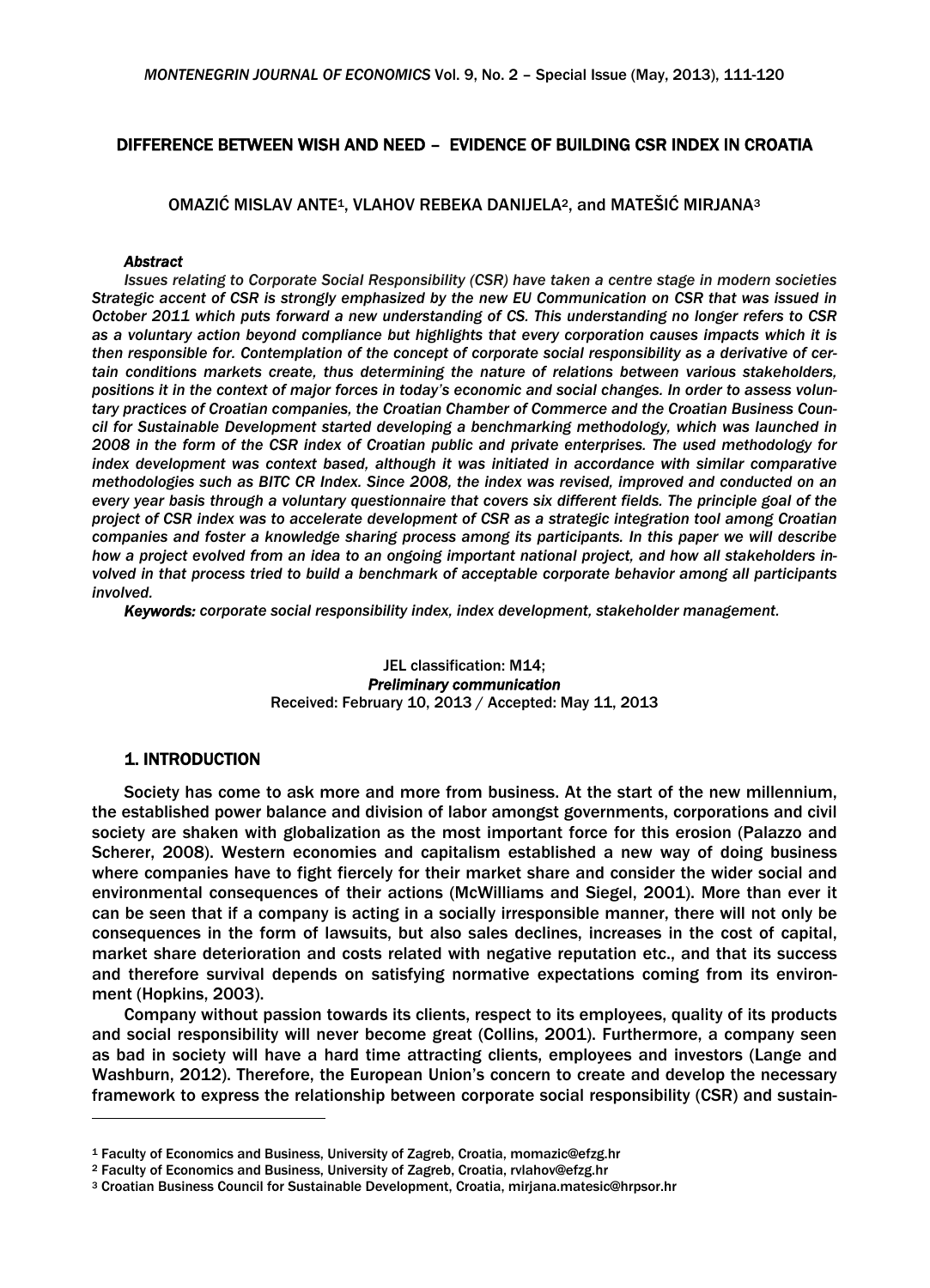# DIFFERENCE BETWEEN WISH AND NEED – EVIDENCE OF BUILDING CSR INDEX IN CROATIA

OMAZIĆ MISLAV ANTE1, VLAHOV REBEKA DANIJELA2, and MATEŠIĆ MIRJANA3

#### *Abstract*

*Issues relating to Corporate Social Responsibility (CSR) have taken a centre stage in modern societies Strategic accent of CSR is strongly emphasized by the new EU Communication on CSR that was issued in October 2011 which puts forward a new understanding of CS. This understanding no longer refers to CSR as a voluntary action beyond compliance but highlights that every corporation causes impacts which it is then responsible for. Contemplation of the concept of corporate social responsibility as a derivative of certain conditions markets create, thus determining the nature of relations between various stakeholders, positions it in the context of major forces in today's economic and social changes. In order to assess voluntary practices of Croatian companies, the Croatian Chamber of Commerce and the Croatian Business Council for Sustainable Development started developing a benchmarking methodology, which was launched in 2008 in the form of the CSR index of Croatian public and private enterprises. The used methodology for index development was context based, although it was initiated in accordance with similar comparative methodologies such as BITC CR Index. Since 2008, the index was revised, improved and conducted on an every year basis through a voluntary questionnaire that covers six different fields. The principle goal of the project of CSR index was to accelerate development of CSR as a strategic integration tool among Croatian companies and foster a knowledge sharing process among its participants. In this paper we will describe how a project evolved from an idea to an ongoing important national project, and how all stakeholders involved in that process tried to build a benchmark of acceptable corporate behavior among all participants involved.*

*Keywords: corporate social responsibility index, index development, stakeholder management.*

JEL classification: M14; *Preliminary communication*  Received: February 10, 2013 / Accepted: May 11, 2013

# 1. INTRODUCTION

Society has come to ask more and more from business. At the start of the new millennium, the established power balance and division of labor amongst governments, corporations and civil society are shaken with globalization as the most important force for this erosion (Palazzo and Scherer, 2008). Western economies and capitalism established a new way of doing business where companies have to fight fiercely for their market share and consider the wider social and environmental consequences of their actions (McWilliams and Siegel, 2001). More than ever it can be seen that if a company is acting in a socially irresponsible manner, there will not only be consequences in the form of lawsuits, but also sales declines, increases in the cost of capital, market share deterioration and costs related with negative reputation etc., and that its success and therefore survival depends on satisfying normative expectations coming from its environment (Hopkins, 2003).

Company without passion towards its clients, respect to its employees, quality of its products and social responsibility will never become great (Collins, 2001). Furthermore, a company seen as bad in society will have a hard time attracting clients, employees and investors (Lange and Washburn, 2012). Therefore, the European Union's concern to create and develop the necessary framework to express the relationship between corporate social responsibility (CSR) and sustain-

<sup>&</sup>lt;sup>1</sup> Faculty of Economics and Business, University of Zagreb, Croatia, momazic@efzg.hr<br><sup>2</sup> Faculty of Economics and Business, University of Zagreb, Croatia, rvlahov@efzg.hr<br><sup>3</sup> Croatian Business Council for Sustainable Deve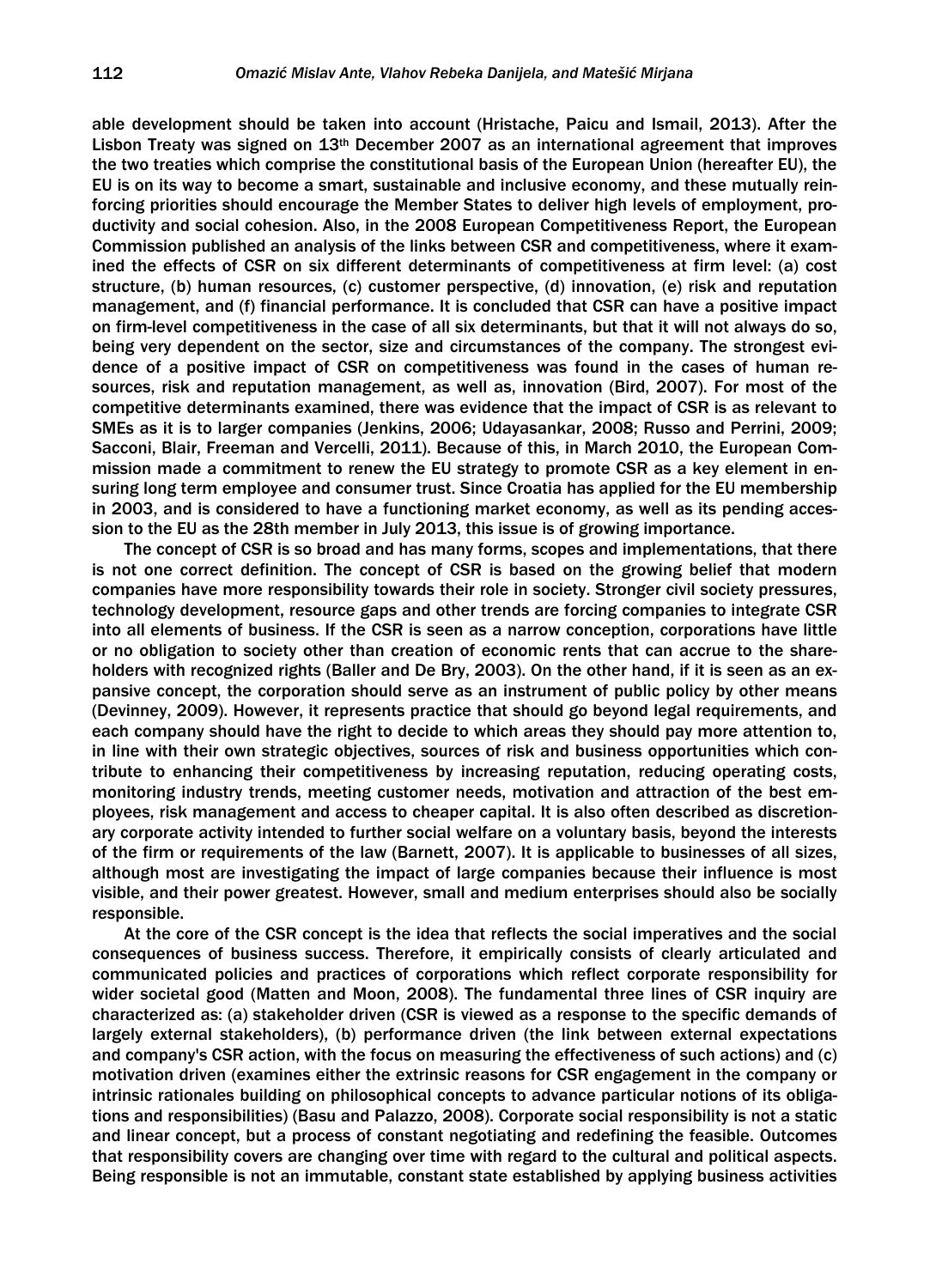able development should be taken into account (Hristache, Paicu and Ismail, 2013). After the Lisbon Treaty was signed on 13th December 2007 as an international agreement that improves the two treaties which comprise the constitutional basis of the European Union (hereafter EU), the EU is on its way to become a smart, sustainable and inclusive economy, and these mutually reinforcing priorities should encourage the Member States to deliver high levels of employment, productivity and social cohesion. Also, in the 2008 European Competitiveness Report, the European Commission published an analysis of the links between CSR and competitiveness, where it examined the effects of CSR on six different determinants of competitiveness at firm level: (a) cost structure, (b) human resources, (c) customer perspective, (d) innovation, (e) risk and reputation management, and (f) financial performance. It is concluded that CSR can have a positive impact on firm-level competitiveness in the case of all six determinants, but that it will not always do so, being very dependent on the sector, size and circumstances of the company. The strongest evidence of a positive impact of CSR on competitiveness was found in the cases of human resources, risk and reputation management, as well as, innovation (Bird, 2007). For most of the competitive determinants examined, there was evidence that the impact of CSR is as relevant to SMEs as it is to larger companies (Jenkins, 2006; Udayasankar, 2008; Russo and Perrini, 2009; Sacconi, Blair, Freeman and Vercelli, 2011). Because of this, in March 2010, the European Commission made a commitment to renew the EU strategy to promote CSR as a key element in ensuring long term employee and consumer trust. Since Croatia has applied for the EU membership in 2003, and is considered to have a functioning market economy, as well as its pending accession to the EU as the 28th member in July 2013, this issue is of growing importance.

The concept of CSR is so broad and has many forms, scopes and implementations, that there is not one correct definition. The concept of CSR is based on the growing belief that modern companies have more responsibility towards their role in society. Stronger civil society pressures, technology development, resource gaps and other trends are forcing companies to integrate CSR into all elements of business. If the CSR is seen as a narrow conception, corporations have little or no obligation to society other than creation of economic rents that can accrue to the shareholders with recognized rights (Baller and De Bry, 2003). On the other hand, if it is seen as an expansive concept, the corporation should serve as an instrument of public policy by other means (Devinney, 2009). However, it represents practice that should go beyond legal requirements, and each company should have the right to decide to which areas they should pay more attention to, in line with their own strategic objectives, sources of risk and business opportunities which contribute to enhancing their competitiveness by increasing reputation, reducing operating costs, monitoring industry trends, meeting customer needs, motivation and attraction of the best employees, risk management and access to cheaper capital. It is also often described as discretionary corporate activity intended to further social welfare on a voluntary basis, beyond the interests of the firm or requirements of the law (Barnett, 2007). It is applicable to businesses of all sizes, although most are investigating the impact of large companies because their influence is most visible, and their power greatest. However, small and medium enterprises should also be socially responsible.

At the core of the CSR concept is the idea that reflects the social imperatives and the social consequences of business success. Therefore, it empirically consists of clearly articulated and communicated policies and practices of corporations which reflect corporate responsibility for wider societal good (Matten and Moon, 2008). The fundamental three lines of CSR inquiry are characterized as: (a) stakeholder driven (CSR is viewed as a response to the specific demands of largely external stakeholders), (b) performance driven (the link between external expectations and company's CSR action, with the focus on measuring the effectiveness of such actions) and (c) motivation driven (examines either the extrinsic reasons for CSR engagement in the company or intrinsic rationales building on philosophical concepts to advance particular notions of its obligations and responsibilities) (Basu and Palazzo, 2008). Corporate social responsibility is not a static and linear concept, but a process of constant negotiating and redefining the feasible. Outcomes that responsibility covers are changing over time with regard to the cultural and political aspects. Being responsible is not an immutable, constant state established by applying business activities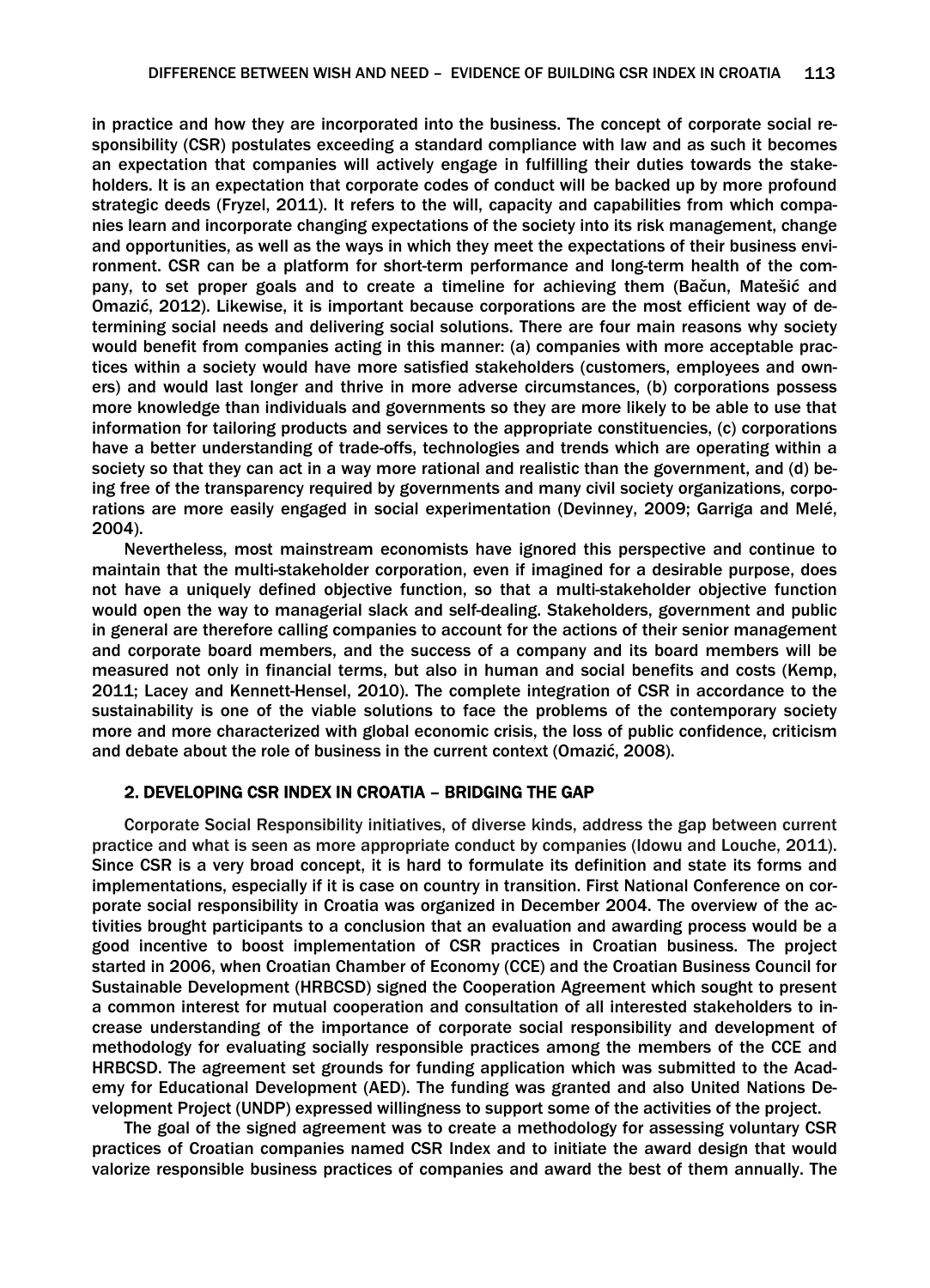in practice and how they are incorporated into the business. The concept of corporate social responsibility (CSR) postulates exceeding a standard compliance with law and as such it becomes an expectation that companies will actively engage in fulfilling their duties towards the stakeholders. It is an expectation that corporate codes of conduct will be backed up by more profound strategic deeds (Fryzel, 2011). It refers to the will, capacity and capabilities from which companies learn and incorporate changing expectations of the society into its risk management, change and opportunities, as well as the ways in which they meet the expectations of their business environment. CSR can be a platform for short-term performance and long-term health of the company, to set proper goals and to create a timeline for achieving them (Bačun, Matešić and Omazić, 2012). Likewise, it is important because corporations are the most efficient way of determining social needs and delivering social solutions. There are four main reasons why society would benefit from companies acting in this manner: (a) companies with more acceptable practices within a society would have more satisfied stakeholders (customers, employees and owners) and would last longer and thrive in more adverse circumstances, (b) corporations possess more knowledge than individuals and governments so they are more likely to be able to use that information for tailoring products and services to the appropriate constituencies, (c) corporations have a better understanding of trade-offs, technologies and trends which are operating within a society so that they can act in a way more rational and realistic than the government, and (d) being free of the transparency required by governments and many civil society organizations, corporations are more easily engaged in social experimentation (Devinney, 2009; Garriga and Melé, 2004).

Nevertheless, most mainstream economists have ignored this perspective and continue to maintain that the multi-stakeholder corporation, even if imagined for a desirable purpose, does not have a uniquely defined objective function, so that a multi-stakeholder objective function would open the way to managerial slack and self-dealing. Stakeholders, government and public in general are therefore calling companies to account for the actions of their senior management and corporate board members, and the success of a company and its board members will be measured not only in financial terms, but also in human and social benefits and costs (Kemp, 2011; Lacey and Kennett-Hensel, 2010). The complete integration of CSR in accordance to the sustainability is one of the viable solutions to face the problems of the contemporary society more and more characterized with global economic crisis, the loss of public confidence, criticism and debate about the role of business in the current context (Omazić, 2008).

## 2. DEVELOPING CSR INDEX IN CROATIA – BRIDGING THE GAP

Corporate Social Responsibility initiatives, of diverse kinds, address the gap between current practice and what is seen as more appropriate conduct by companies (Idowu and Louche, 2011). Since CSR is a very broad concept, it is hard to formulate its definition and state its forms and implementations, especially if it is case on country in transition. First National Conference on corporate social responsibility in Croatia was organized in December 2004. The overview of the activities brought participants to a conclusion that an evaluation and awarding process would be a good incentive to boost implementation of CSR practices in Croatian business. The project started in 2006, when Croatian Chamber of Economy (CCE) and the Croatian Business Council for Sustainable Development (HRBCSD) signed the Cooperation Agreement which sought to present a common interest for mutual cooperation and consultation of all interested stakeholders to increase understanding of the importance of corporate social responsibility and development of methodology for evaluating socially responsible practices among the members of the CCE and HRBCSD. The agreement set grounds for funding application which was submitted to the Academy for Educational Development (AED). The funding was granted and also United Nations Development Project (UNDP) expressed willingness to support some of the activities of the project.

The goal of the signed agreement was to create a methodology for assessing voluntary CSR practices of Croatian companies named CSR Index and to initiate the award design that would valorize responsible business practices of companies and award the best of them annually. The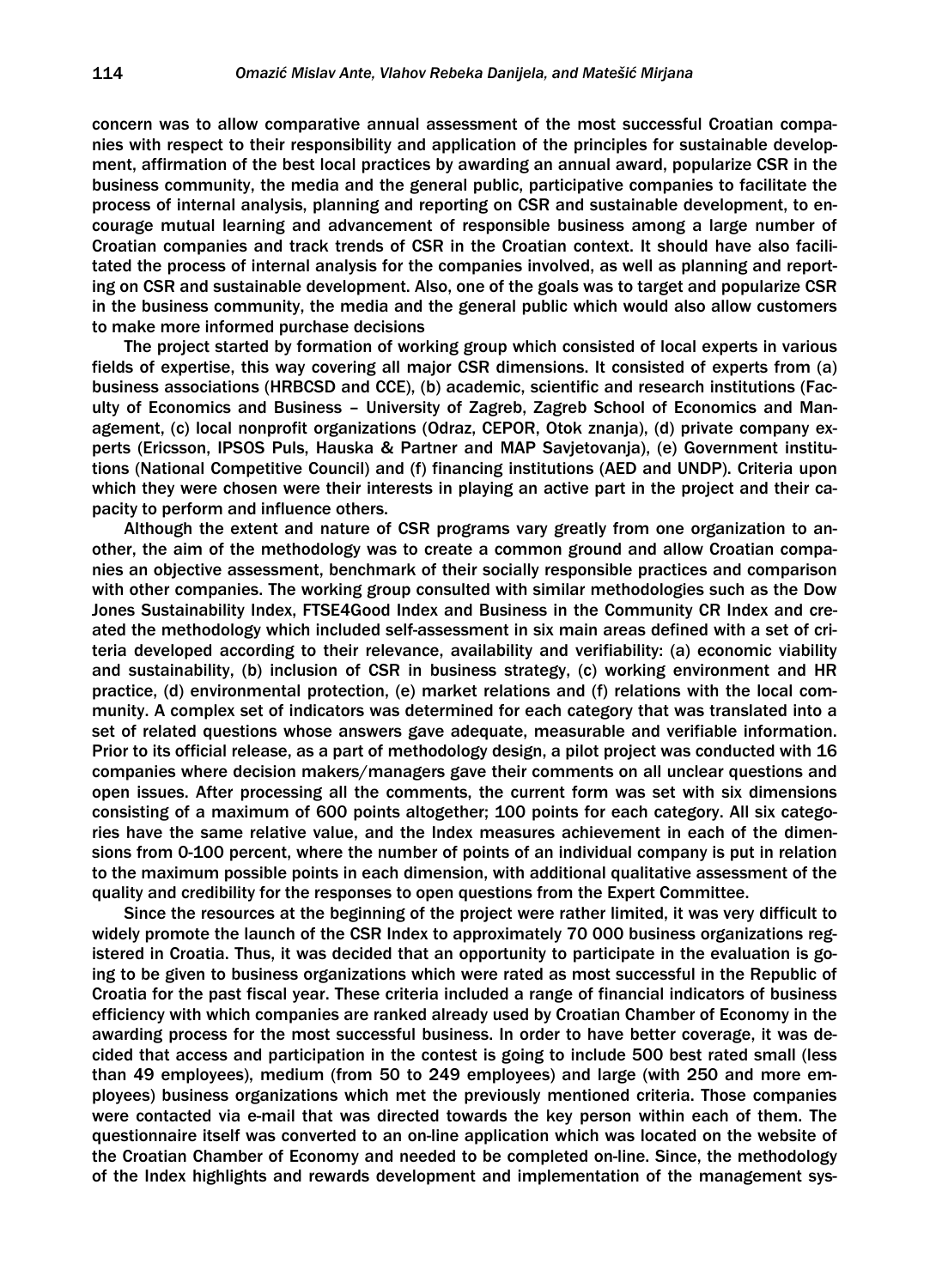concern was to allow comparative annual assessment of the most successful Croatian companies with respect to their responsibility and application of the principles for sustainable development, affirmation of the best local practices by awarding an annual award, popularize CSR in the business community, the media and the general public, participative companies to facilitate the process of internal analysis, planning and reporting on CSR and sustainable development, to encourage mutual learning and advancement of responsible business among a large number of Croatian companies and track trends of CSR in the Croatian context. It should have also facilitated the process of internal analysis for the companies involved, as well as planning and reporting on CSR and sustainable development. Also, one of the goals was to target and popularize CSR in the business community, the media and the general public which would also allow customers to make more informed purchase decisions

The project started by formation of working group which consisted of local experts in various fields of expertise, this way covering all major CSR dimensions. It consisted of experts from (a) business associations (HRBCSD and CCE), (b) academic, scientific and research institutions (Faculty of Economics and Business – University of Zagreb, Zagreb School of Economics and Management, (c) local nonprofit organizations (Odraz, CEPOR, Otok znanja), (d) private company experts (Ericsson, IPSOS Puls, Hauska & Partner and MAP Savjetovanja), (e) Government institutions (National Competitive Council) and (f) financing institutions (AED and UNDP). Criteria upon which they were chosen were their interests in playing an active part in the project and their capacity to perform and influence others.

Although the extent and nature of CSR programs vary greatly from one organization to another, the aim of the methodology was to create a common ground and allow Croatian companies an objective assessment, benchmark of their socially responsible practices and comparison with other companies. The working group consulted with similar methodologies such as the Dow Jones Sustainability Index, FTSE4Good Index and Business in the Community CR Index and created the methodology which included self-assessment in six main areas defined with a set of criteria developed according to their relevance, availability and verifiability: (a) economic viability and sustainability, (b) inclusion of CSR in business strategy, (c) working environment and HR practice, (d) environmental protection, (e) market relations and (f) relations with the local community. A complex set of indicators was determined for each category that was translated into a set of related questions whose answers gave adequate, measurable and verifiable information. Prior to its official release, as a part of methodology design, a pilot project was conducted with 16 companies where decision makers/managers gave their comments on all unclear questions and open issues. After processing all the comments, the current form was set with six dimensions consisting of a maximum of 600 points altogether; 100 points for each category. All six categories have the same relative value, and the Index measures achievement in each of the dimensions from 0-100 percent, where the number of points of an individual company is put in relation to the maximum possible points in each dimension, with additional qualitative assessment of the quality and credibility for the responses to open questions from the Expert Committee.

Since the resources at the beginning of the project were rather limited, it was very difficult to widely promote the launch of the CSR Index to approximately 70 000 business organizations registered in Croatia. Thus, it was decided that an opportunity to participate in the evaluation is going to be given to business organizations which were rated as most successful in the Republic of Croatia for the past fiscal year. These criteria included a range of financial indicators of business efficiency with which companies are ranked already used by Croatian Chamber of Economy in the awarding process for the most successful business. In order to have better coverage, it was decided that access and participation in the contest is going to include 500 best rated small (less than 49 employees), medium (from 50 to 249 employees) and large (with 250 and more employees) business organizations which met the previously mentioned criteria. Those companies were contacted via e-mail that was directed towards the key person within each of them. The questionnaire itself was converted to an on-line application which was located on the website of the Croatian Chamber of Economy and needed to be completed on-line. Since, the methodology of the Index highlights and rewards development and implementation of the management sys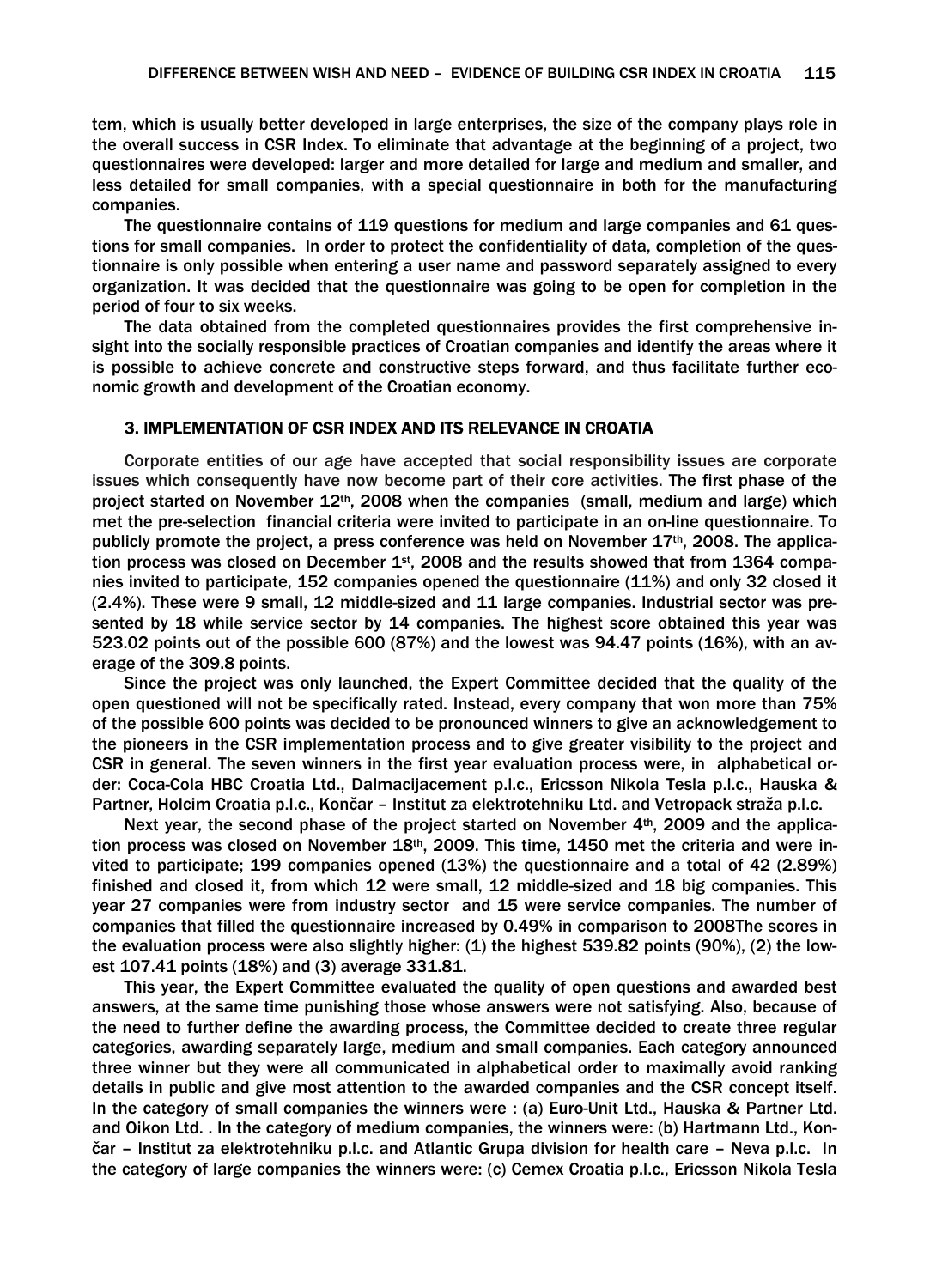tem, which is usually better developed in large enterprises, the size of the company plays role in the overall success in CSR Index. To eliminate that advantage at the beginning of a project, two questionnaires were developed: larger and more detailed for large and medium and smaller, and less detailed for small companies, with a special questionnaire in both for the manufacturing companies.

The questionnaire contains of 119 questions for medium and large companies and 61 questions for small companies. In order to protect the confidentiality of data, completion of the questionnaire is only possible when entering a user name and password separately assigned to every organization. It was decided that the questionnaire was going to be open for completion in the period of four to six weeks.

The data obtained from the completed questionnaires provides the first comprehensive insight into the socially responsible practices of Croatian companies and identify the areas where it is possible to achieve concrete and constructive steps forward, and thus facilitate further economic growth and development of the Croatian economy.

## 3. IMPLEMENTATION OF CSR INDEX AND ITS RELEVANCE IN CROATIA

Corporate entities of our age have accepted that social responsibility issues are corporate issues which consequently have now become part of their core activities. The first phase of the project started on November  $12<sup>th</sup>$ , 2008 when the companies (small, medium and large) which met the pre-selection financial criteria were invited to participate in an on-line questionnaire. To publicly promote the project, a press conference was held on November 17th, 2008. The application process was closed on December  $1<sup>st</sup>$ , 2008 and the results showed that from 1364 companies invited to participate, 152 companies opened the questionnaire (11%) and only 32 closed it (2.4%). These were 9 small, 12 middle-sized and 11 large companies. Industrial sector was presented by 18 while service sector by 14 companies. The highest score obtained this year was 523.02 points out of the possible 600 (87%) and the lowest was 94.47 points (16%), with an average of the 309.8 points.

Since the project was only launched, the Expert Committee decided that the quality of the open questioned will not be specifically rated. Instead, every company that won more than 75% of the possible 600 points was decided to be pronounced winners to give an acknowledgement to the pioneers in the CSR implementation process and to give greater visibility to the project and CSR in general. The seven winners in the first year evaluation process were, in alphabetical order: Coca-Cola HBC Croatia Ltd., Dalmacijacement p.l.c., Ericsson Nikola Tesla p.l.c., Hauska & Partner, Holcim Croatia p.l.c., Končar – Institut za elektrotehniku Ltd. and Vetropack straža p.l.c.

Next year, the second phase of the project started on November 4th, 2009 and the application process was closed on November  $18<sup>th</sup>$ , 2009. This time, 1450 met the criteria and were invited to participate; 199 companies opened (13%) the questionnaire and a total of 42 (2.89%) finished and closed it, from which 12 were small, 12 middle-sized and 18 big companies. This year 27 companies were from industry sector and 15 were service companies. The number of companies that filled the questionnaire increased by 0.49% in comparison to 2008The scores in the evaluation process were also slightly higher:  $(1)$  the highest 539.82 points (90%),  $(2)$  the lowest 107.41 points (18%) and (3) average 331.81.

This year, the Expert Committee evaluated the quality of open questions and awarded best answers, at the same time punishing those whose answers were not satisfying. Also, because of the need to further define the awarding process, the Committee decided to create three regular categories, awarding separately large, medium and small companies. Each category announced three winner but they were all communicated in alphabetical order to maximally avoid ranking details in public and give most attention to the awarded companies and the CSR concept itself. In the category of small companies the winners were : (a) Euro-Unit Ltd., Hauska & Partner Ltd. and Oikon Ltd. . In the category of medium companies, the winners were: (b) Hartmann Ltd., Končar – Institut za elektrotehniku p.l.c. and Atlantic Grupa division for health care – Neva p.l.c. In the category of large companies the winners were: (c) Cemex Croatia p.l.c., Ericsson Nikola Tesla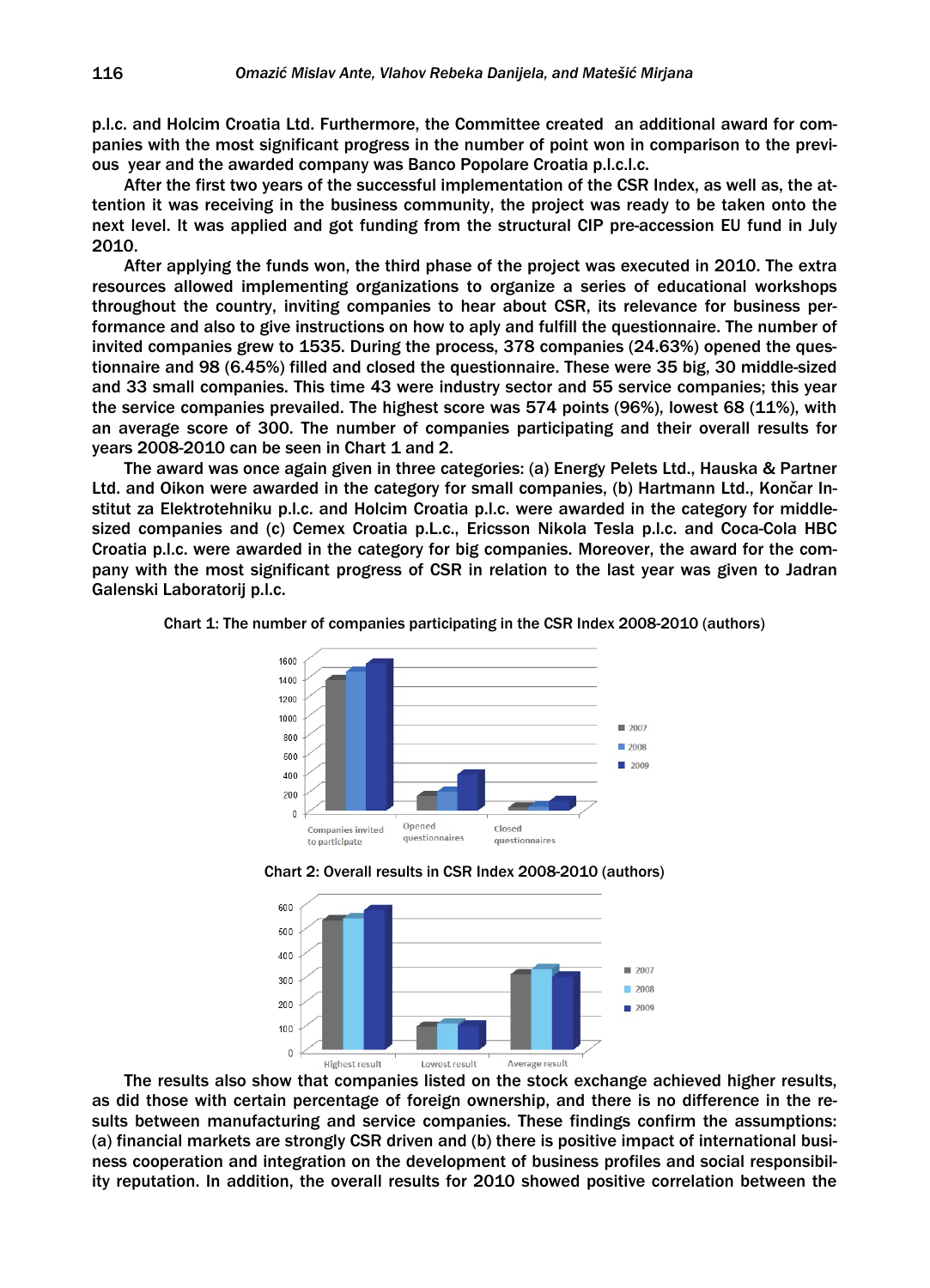p.l.c. and Holcim Croatia Ltd. Furthermore, the Committee created an additional award for companies with the most significant progress in the number of point won in comparison to the previous year and the awarded company was Banco Popolare Croatia p.l.c.l.c.

After the first two years of the successful implementation of the CSR Index, as well as, the attention it was receiving in the business community, the project was ready to be taken onto the next level. It was applied and got funding from the structural CIP pre-accession EU fund in July 2010.

After applying the funds won, the third phase of the project was executed in 2010. The extra resources allowed implementing organizations to organize a series of educational workshops throughout the country, inviting companies to hear about CSR, its relevance for business performance and also to give instructions on how to aply and fulfill the questionnaire. The number of invited companies grew to 1535. During the process, 378 companies (24.63%) opened the questionnaire and 98 (6.45%) filled and closed the questionnaire. These were 35 big, 30 middle-sized and 33 small companies. This time 43 were industry sector and 55 service companies; this year the service companies prevailed. The highest score was 574 points (96%), lowest 68 (11%), with an average score of 300. The number of companies participating and their overall results for years 2008-2010 can be seen in Chart 1 and 2.

The award was once again given in three categories: (a) Energy Pelets Ltd., Hauska & Partner Ltd. and Oikon were awarded in the category for small companies, (b) Hartmann Ltd., Končar Institut za Elektrotehniku p.l.c. and Holcim Croatia p.l.c. were awarded in the category for middlesized companies and (c) Cemex Croatia p.L.c., Ericsson Nikola Tesla p.l.c. and Coca-Cola HBC Croatia p.l.c. were awarded in the category for big companies. Moreover, the award for the company with the most significant progress of CSR in relation to the last year was given to Jadran Galenski Laboratorij p.l.c.

Chart 1: The number of companies participating in the CSR Index 2008-2010 (authors)



Chart 2: Overall results in CSR Index 2008-2010 (authors)



The results also show that companies listed on the stock exchange achieved higher results, as did those with certain percentage of foreign ownership, and there is no difference in the results between manufacturing and service companies. These findings confirm the assumptions: (a) financial markets are strongly CSR driven and (b) there is positive impact of international business cooperation and integration on the development of business profiles and social responsibility reputation. In addition, the overall results for 2010 showed positive correlation between the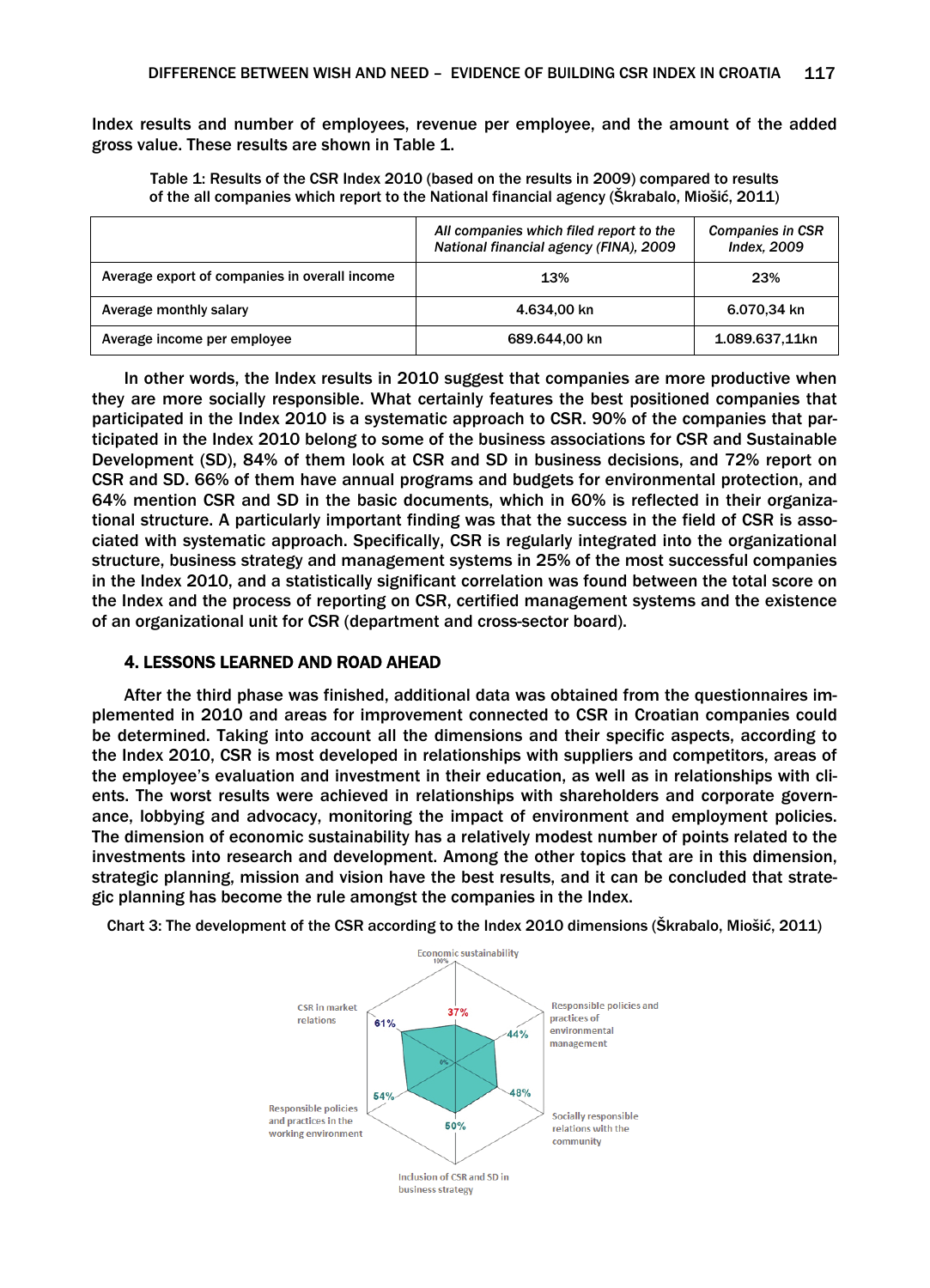Index results and number of employees, revenue per employee, and the amount of the added gross value. These results are shown in Table 1.

Table 1: Results of the CSR Index 2010 (based on the results in 2009) compared to results of the all companies which report to the National financial agency (Škrabalo, Miošić, 2011)

|                                               | All companies which filed report to the<br>National financial agency (FINA), 2009 | <b>Companies in CSR</b><br><b>Index, 2009</b> |
|-----------------------------------------------|-----------------------------------------------------------------------------------|-----------------------------------------------|
| Average export of companies in overall income | 13%                                                                               | 23%                                           |
| Average monthly salary                        | 4.634.00 kn                                                                       | 6.070.34 kn                                   |
| Average income per employee                   | 689.644.00 kn                                                                     | 1.089.637,11kn                                |

In other words, the Index results in 2010 suggest that companies are more productive when they are more socially responsible. What certainly features the best positioned companies that participated in the Index 2010 is a systematic approach to CSR. 90% of the companies that participated in the Index 2010 belong to some of the business associations for CSR and Sustainable Development (SD), 84% of them look at CSR and SD in business decisions, and 72% report on CSR and SD. 66% of them have annual programs and budgets for environmental protection, and 64% mention CSR and SD in the basic documents, which in 60% is reflected in their organizational structure. A particularly important finding was that the success in the field of CSR is associated with systematic approach. Specifically, CSR is regularly integrated into the organizational structure, business strategy and management systems in 25% of the most successful companies in the Index 2010, and a statistically significant correlation was found between the total score on the Index and the process of reporting on CSR, certified management systems and the existence of an organizational unit for CSR (department and cross-sector board).

## 4. LESSONS LEARNED AND ROAD AHEAD

After the third phase was finished, additional data was obtained from the questionnaires implemented in 2010 and areas for improvement connected to CSR in Croatian companies could be determined. Taking into account all the dimensions and their specific aspects, according to the Index 2010, CSR is most developed in relationships with suppliers and competitors, areas of the employee's evaluation and investment in their education, as well as in relationships with clients. The worst results were achieved in relationships with shareholders and corporate governance, lobbying and advocacy, monitoring the impact of environment and employment policies. The dimension of economic sustainability has a relatively modest number of points related to the investments into research and development. Among the other topics that are in this dimension, strategic planning, mission and vision have the best results, and it can be concluded that strategic planning has become the rule amongst the companies in the Index.

Chart 3: The development of the CSR according to the Index 2010 dimensions (Škrabalo, Miošić, 2011)

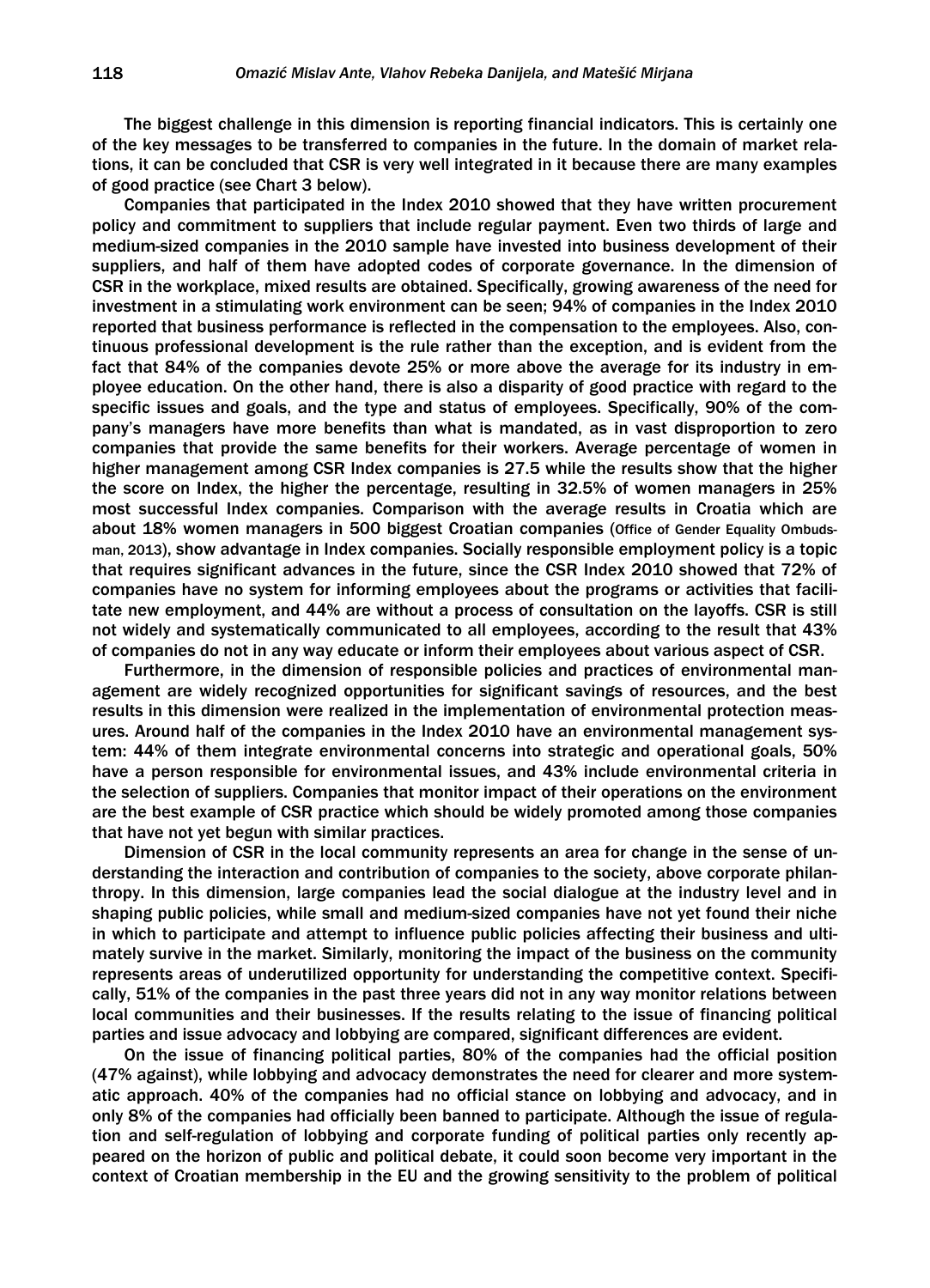The biggest challenge in this dimension is reporting financial indicators. This is certainly one of the key messages to be transferred to companies in the future. In the domain of market relations, it can be concluded that CSR is very well integrated in it because there are many examples of good practice (see Chart 3 below).

Companies that participated in the Index 2010 showed that they have written procurement policy and commitment to suppliers that include regular payment. Even two thirds of large and medium-sized companies in the 2010 sample have invested into business development of their suppliers, and half of them have adopted codes of corporate governance. In the dimension of CSR in the workplace, mixed results are obtained. Specifically, growing awareness of the need for investment in a stimulating work environment can be seen; 94% of companies in the Index 2010 reported that business performance is reflected in the compensation to the employees. Also, continuous professional development is the rule rather than the exception, and is evident from the fact that 84% of the companies devote 25% or more above the average for its industry in employee education. On the other hand, there is also a disparity of good practice with regard to the specific issues and goals, and the type and status of employees. Specifically, 90% of the company's managers have more benefits than what is mandated, as in vast disproportion to zero companies that provide the same benefits for their workers. Average percentage of women in higher management among CSR Index companies is 27.5 while the results show that the higher the score on Index, the higher the percentage, resulting in 32.5% of women managers in 25% most successful Index companies. Comparison with the average results in Croatia which are about 18% women managers in 500 biggest Croatian companies (Office of Gender Equality Ombudsman, 2013), show advantage in Index companies. Socially responsible employment policy is a topic that requires significant advances in the future, since the CSR Index 2010 showed that 72% of companies have no system for informing employees about the programs or activities that facilitate new employment, and 44% are without a process of consultation on the layoffs. CSR is still not widely and systematically communicated to all employees, according to the result that 43% of companies do not in any way educate or inform their employees about various aspect of CSR.

Furthermore, in the dimension of responsible policies and practices of environmental management are widely recognized opportunities for significant savings of resources, and the best results in this dimension were realized in the implementation of environmental protection measures. Around half of the companies in the Index 2010 have an environmental management system: 44% of them integrate environmental concerns into strategic and operational goals, 50% have a person responsible for environmental issues, and 43% include environmental criteria in the selection of suppliers. Companies that monitor impact of their operations on the environment are the best example of CSR practice which should be widely promoted among those companies that have not yet begun with similar practices.

Dimension of CSR in the local community represents an area for change in the sense of understanding the interaction and contribution of companies to the society, above corporate philanthropy. In this dimension, large companies lead the social dialogue at the industry level and in shaping public policies, while small and medium-sized companies have not yet found their niche in which to participate and attempt to influence public policies affecting their business and ultimately survive in the market. Similarly, monitoring the impact of the business on the community represents areas of underutilized opportunity for understanding the competitive context. Specifically, 51% of the companies in the past three years did not in any way monitor relations between local communities and their businesses. If the results relating to the issue of financing political parties and issue advocacy and lobbying are compared, significant differences are evident.

On the issue of financing political parties, 80% of the companies had the official position (47% against), while lobbying and advocacy demonstrates the need for clearer and more systematic approach. 40% of the companies had no official stance on lobbying and advocacy, and in only 8% of the companies had officially been banned to participate. Although the issue of regulation and self-regulation of lobbying and corporate funding of political parties only recently appeared on the horizon of public and political debate, it could soon become very important in the context of Croatian membership in the EU and the growing sensitivity to the problem of political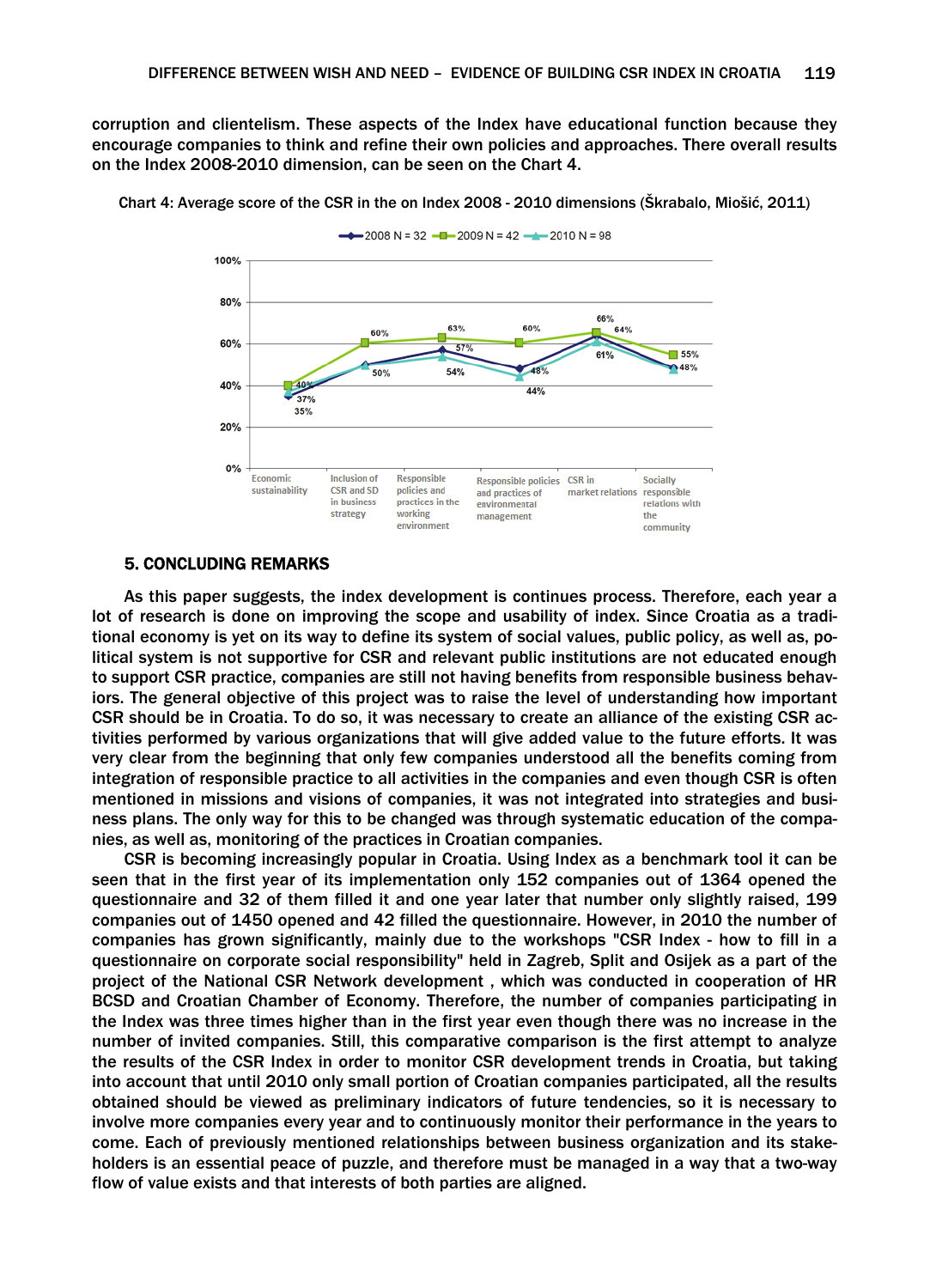corruption and clientelism. These aspects of the Index have educational function because they encourage companies to think and refine their own policies and approaches. There overall results on the Index 2008-2010 dimension, can be seen on the Chart 4.



Chart 4: Average score of the CSR in the on Index 2008 - 2010 dimensions (Škrabalo, Miošić, 2011)

#### 5. CONCLUDING REMARKS

As this paper suggests, the index development is continues process. Therefore, each year a lot of research is done on improving the scope and usability of index. Since Croatia as a traditional economy is yet on its way to define its system of social values, public policy, as well as, political system is not supportive for CSR and relevant public institutions are not educated enough to support CSR practice, companies are still not having benefits from responsible business behaviors. The general objective of this project was to raise the level of understanding how important CSR should be in Croatia. To do so, it was necessary to create an alliance of the existing CSR activities performed by various organizations that will give added value to the future efforts. It was very clear from the beginning that only few companies understood all the benefits coming from integration of responsible practice to all activities in the companies and even though CSR is often mentioned in missions and visions of companies, it was not integrated into strategies and business plans. The only way for this to be changed was through systematic education of the companies, as well as, monitoring of the practices in Croatian companies.

CSR is becoming increasingly popular in Croatia. Using Index as a benchmark tool it can be seen that in the first year of its implementation only 152 companies out of 1364 opened the questionnaire and 32 of them filled it and one year later that number only slightly raised, 199 companies out of 1450 opened and 42 filled the questionnaire. However, in 2010 the number of companies has grown significantly, mainly due to the workshops "CSR Index - how to fill in a questionnaire on corporate social responsibility" held in Zagreb, Split and Osijek as a part of the project of the National CSR Network development , which was conducted in cooperation of HR BCSD and Croatian Chamber of Economy. Therefore, the number of companies participating in the Index was three times higher than in the first year even though there was no increase in the number of invited companies. Still, this comparative comparison is the first attempt to analyze the results of the CSR Index in order to monitor CSR development trends in Croatia, but taking into account that until 2010 only small portion of Croatian companies participated, all the results obtained should be viewed as preliminary indicators of future tendencies, so it is necessary to involve more companies every year and to continuously monitor their performance in the years to come. Each of previously mentioned relationships between business organization and its stakeholders is an essential peace of puzzle, and therefore must be managed in a way that a two-way flow of value exists and that interests of both parties are aligned.